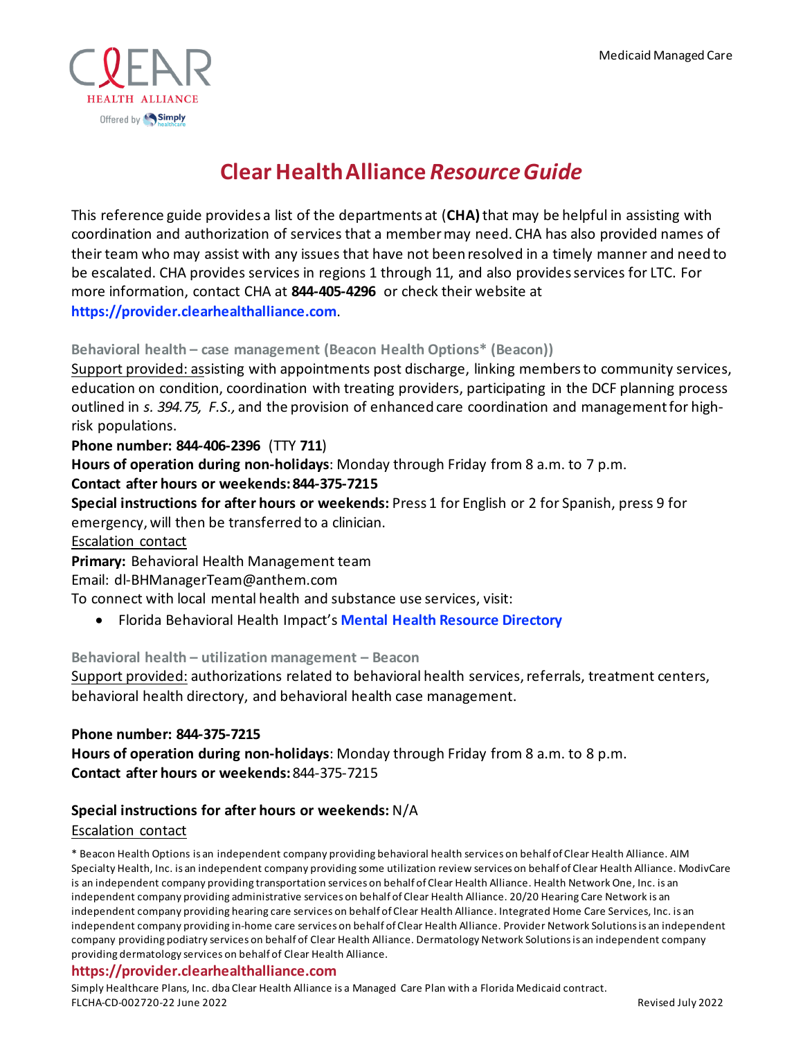

# **Clear Health Alliance** *Resource Guide*

This reference guide provides a list of the departments at (**CHA)**that may be helpful in assisting with coordination and authorization of services that a member may need. CHA has also provided names of their team who may assist with any issues that have not been resolved in a timely manner and need to be escalated. CHA provides services in regions 1 through 11, and also provides services for LTC. For more information, contact CHA at **844-405-4296** or check their website at **[https://provider.clearhealthalliance.com](https://provider.clearhealthalliance.com/)**.

# **Behavioral health – case management (Beacon Health Options\* (Beacon))**

Support provided: assisting with appointments post discharge, linking members to community services, education on condition, coordination with treating providers, participating in the DCF planning process outlined in *s. 394.75, F.S.,* and the provision of enhanced care coordination and management for highrisk populations.

## **Phone number: 844-406-2396** (TTY **711**)

**Hours of operation during non-holidays**: Monday through Friday from 8 a.m. to 7 p.m.

## **Contact after hours or weekends:844-375-7215**

**Special instructions for after hours or weekends:** Press 1 for English or 2 for Spanish, press 9 for emergency, will then be transferred to a clinician.

#### Escalation contact

**Primary:** Behavioral Health Management team

Email: dl-BHManagerTeam@anthem.com

To connect with local mental health and substance use services, visit:

• Florida Behavioral Health Impact's **[Mental Health Resource Directory](https://flmomsmhresources.org/)**

## **Behavioral health – utilization management – Beacon**

Support provided: authorizations related to behavioral health services, referrals, treatment centers, behavioral health directory, and behavioral health case management.

## **Phone number: 844-375-7215**

**Hours of operation during non-holidays**: Monday through Friday from 8 a.m. to 8 p.m. **Contact after hours or weekends:**844-375-7215

## **Special instructions for after hours or weekends:** N/A

## Escalation contact

\* Beacon Health Options is an independent company providing behavioral health services on behalf of Clear Health Alliance. AIM Specialty Health, Inc. is an independent company providing some utilization review services on behalf of Clear Health Alliance. ModivCare is an independent company providing transportation services on behalf of Clear Health Alliance. Health Network One, Inc. is an independent company providing administrative services on behalf of Clear Health Alliance. 20/20 Hearing Care Network is an independent company providing hearing care services on behalf of Clear Health Alliance. Integrated Home Care Services, Inc. is an independent company providing in-home care services on behalf of Clear Health Alliance. Provider Network Solutions is an independent company providing podiatry services on behalf of Clear Health Alliance. Dermatology Network Solutions is an independent company providing dermatology services on behalf of Clear Health Alliance.

#### **https://provider.clearhealthalliance.com**

Simply Healthcare Plans, Inc. dba Clear Health Alliance is a Managed Care Plan with a Florida Medicaid contract. FLCHA-CD-002720-22 June 2022 Revised July 2022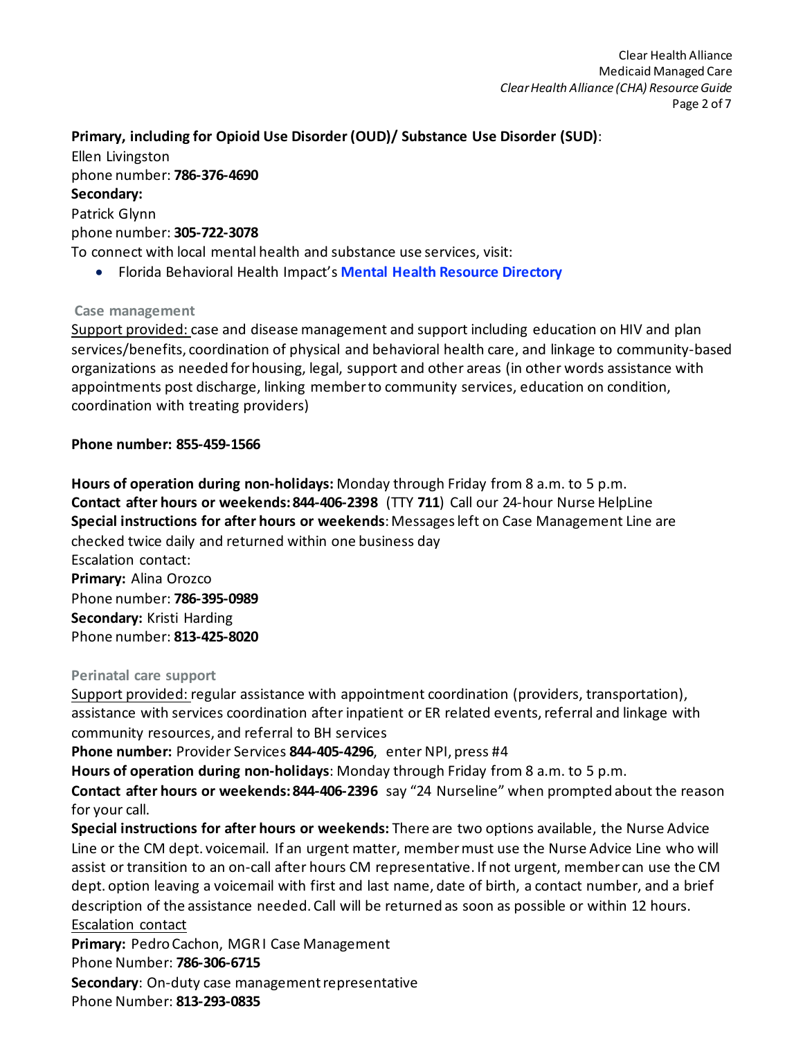# **Primary, including for Opioid Use Disorder (OUD)/ Substance Use Disorder (SUD)**: Ellen Livingston phone number: **786-376-4690 Secondary:** Patrick Glynn phone number: **305-722-3078** To connect with local mental health and substance use services, visit:

• Florida Behavioral Health Impact's **[Mental Health Resource Directory](https://flmomsmhresources.org/)**

# **Case management**

Support provided: case and disease management and support including education on HIV and plan services/benefits, coordination of physical and behavioral health care, and linkage to community-based organizations as needed for housing, legal, support and other areas (in other words assistance with appointments post discharge, linking member to community services, education on condition, coordination with treating providers)

# **Phone number: 855-459-1566**

**Hours of operation during non-holidays:** Monday through Friday from 8 a.m. to 5 p.m. **Contact after hours or weekends:844-406-2398** (TTY **711**) Call our 24-hour Nurse HelpLine **Special instructions for after hours or weekends**: Messages left on Case Management Line are checked twice daily and returned within one business day Escalation contact: **Primary:** Alina Orozco Phone number: **786-395-0989 Secondary:** Kristi Harding Phone number: **813-425-8020**

## **Perinatal care support**

Support provided: regular assistance with appointment coordination (providers, transportation), assistance with services coordination after inpatient or ER related events, referral and linkage with community resources, and referral to BH services

**Phone number:** Provider Services **844-405-4296**, enter NPI, press #4

**Hours of operation during non-holidays**: Monday through Friday from 8 a.m. to 5 p.m.

**Contact after hours or weekends:844-406-2396** say "24 Nurseline" when prompted about the reason for your call.

**Special instructions for after hours or weekends:** There are two options available, the Nurse Advice Line or the CM dept. voicemail. If an urgent matter, member must use the Nurse Advice Line who will assist or transition to an on-call after hours CM representative. If not urgent, member can use the CM dept. option leaving a voicemail with first and last name, date of birth, a contact number, and a brief description of the assistance needed. Call will be returned as soon as possible or within 12 hours. Escalation contact

**Primary:** Pedro Cachon, MGR I Case Management Phone Number: **786-306-6715 Secondary**: On-duty case management representative Phone Number: **813-293-0835**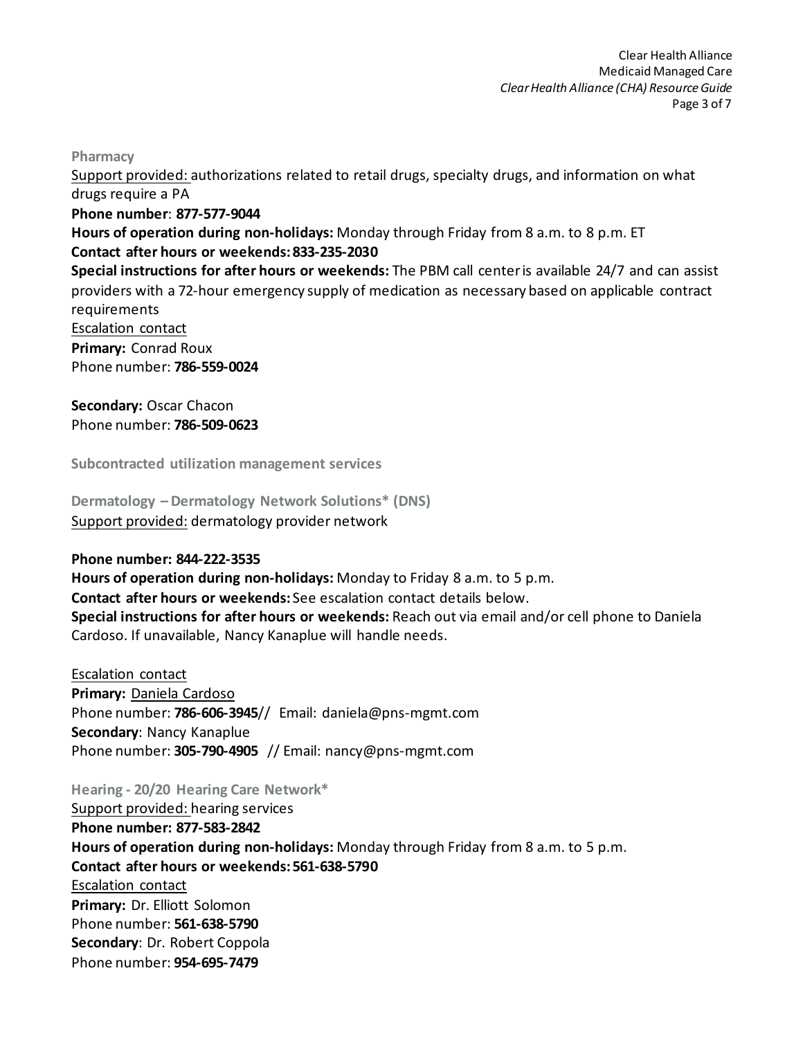**Pharmacy**

Support provided: authorizations related to retail drugs, specialty drugs, and information on what drugs require a PA **Phone number**: **877-577-9044 Hours of operation during non-holidays:** Monday through Friday from 8 a.m. to 8 p.m. ET **Contact after hours or weekends:833-235-2030 Special instructions for after hours or weekends:** The PBM call center is available 24/7 and can assist providers with a 72-hour emergency supply of medication as necessary based on applicable contract requirements Escalation contact **Primary:** Conrad Roux Phone number: **786-559-0024 Secondary:** Oscar Chacon

Phone number: **786-509-0623**

**Subcontracted utilization management services**

**Dermatology – Dermatology Network Solutions\* (DNS)**  Support provided: dermatology provider network

#### **Phone number: 844-222-3535**

**Hours of operation during non-holidays:** Monday to Friday 8 a.m. to 5 p.m. **Contact after hours or weekends:** See escalation contact details below. **Special instructions for after hours or weekends:** Reach out via email and/or cell phone to Daniela Cardoso. If unavailable, Nancy Kanaplue will handle needs.

Escalation contact **Primary:** Daniela Cardoso Phone number: **786-606-3945**// Email: daniela@pns-mgmt.com **Secondary**: Nancy Kanaplue Phone number: **305-790-4905** // Email: nancy@pns-mgmt.com

**Hearing - 20/20 Hearing Care Network\*** Support provided: hearing services **Phone number: 877-583-2842 Hours of operation during non-holidays:** Monday through Friday from 8 a.m. to 5 p.m. **Contact after hours or weekends: 561-638-5790** Escalation contact **Primary:** Dr. Elliott Solomon Phone number: **561-638-5790 Secondary**: Dr. Robert Coppola Phone number: **954-695-7479**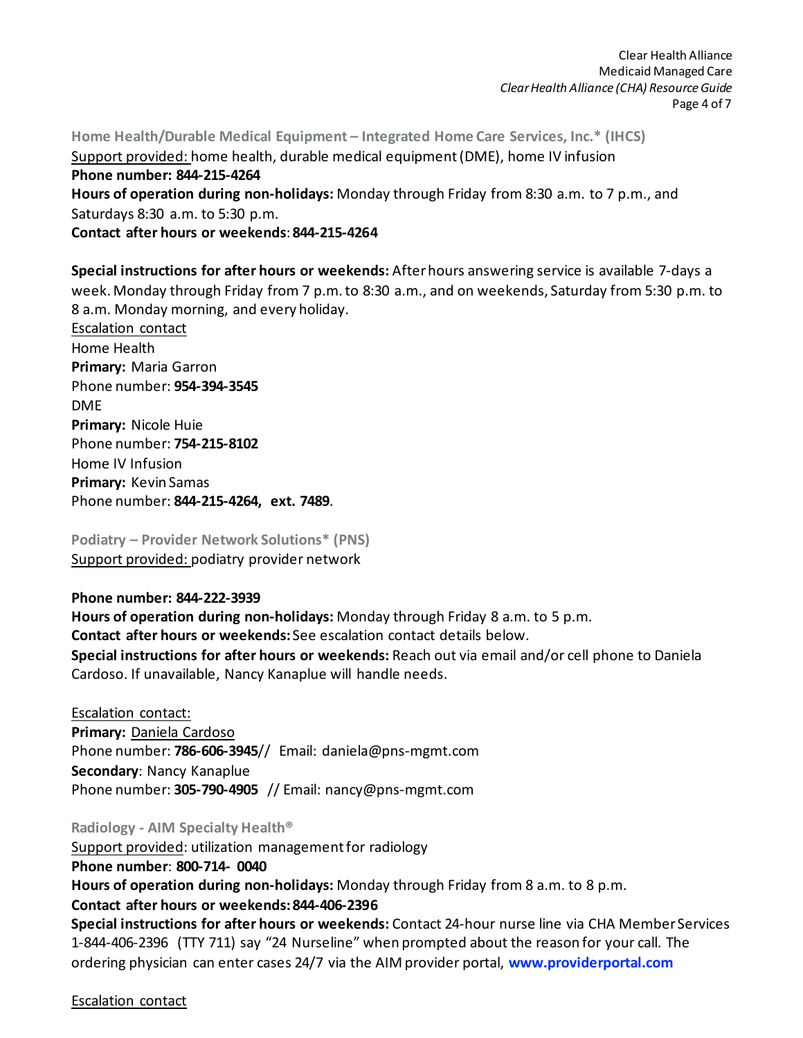Clear Health Alliance Medicaid Managed Care *Clear Health Alliance (CHA) Resource Guide* Page 4 of 7

**Home Health/Durable Medical Equipment – Integrated Home Care Services, Inc.\* (IHCS)** Support provided: home health, durable medical equipment(DME), home IV infusion **Phone number: 844-215-4264 Hours of operation during non-holidays:** Monday through Friday from 8:30 a.m. to 7 p.m., and Saturdays 8:30 a.m. to 5:30 p.m. **Contact after hours or weekends**: **844-215-4264**

**Special instructions for after hours or weekends:** After hours answering service is available 7-days a week. Monday through Friday from 7 p.m. to 8:30 a.m., and on weekends, Saturday from 5:30 p.m. to 8 a.m. Monday morning, and every holiday.

Escalation contact Home Health **Primary:** Maria Garron Phone number: **954-394-3545** DME **Primary:** Nicole Huie Phone number: **754-215-8102** Home IV Infusion **Primary:** Kevin Samas Phone number: **844-215-4264, ext. 7489**.

**Podiatry – Provider Network Solutions\* (PNS)**  Support provided: podiatry provider network

## **Phone number: 844-222-3939**

**Hours of operation during non-holidays:** Monday through Friday 8 a.m. to 5 p.m. **Contact after hours or weekends:** See escalation contact details below. **Special instructions for after hours or weekends:** Reach out via email and/or cell phone to Daniela Cardoso. If unavailable, Nancy Kanaplue will handle needs.

Escalation contact: **Primary:** Daniela Cardoso Phone number: **786-606-3945**// Email: daniela@pns-mgmt.com **Secondary**: Nancy Kanaplue Phone number: **305-790-4905** // Email: nancy@pns-mgmt.com

**Radiology - AIM Specialty Health®**

Support provided: utilization management for radiology **Phone number**: **800-714- 0040 Hours of operation during non-holidays:** Monday through Friday from 8 a.m. to 8 p.m. **Contact after hours or weekends:844-406-2396 Special instructions for after hours or weekends:** Contact 24-hour nurse line via CHA Member Services 1-844-406-2396 (TTY 711) say "24 Nurseline" when prompted about the reason for your call. The

ordering physician can enter cases 24/7 via the AIM provider portal, **[www.providerportal.com](http://www.providerportal.com/)**

Escalation contact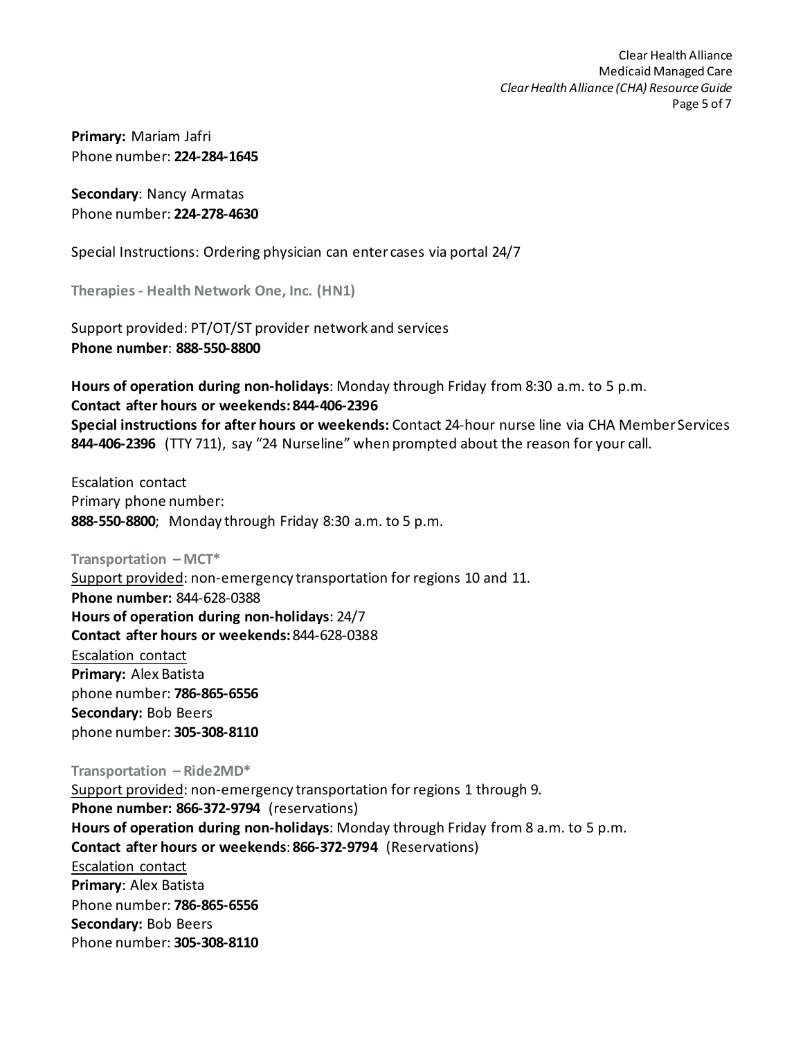**Primary:** Mariam Jafri Phone number: **224-284-1645**

**Secondary**: Nancy Armatas Phone number: **224-278-4630**

Special Instructions: Ordering physician can enter cases via portal 24/7

**Therapies - Health Network One, Inc. (HN1)**

Support provided: PT/OT/ST provider network and services **Phone number**: **888-550-8800**

**Hours of operation during non-holidays**: Monday through Friday from 8:30 a.m. to 5 p.m. **Contact after hours or weekends:844-406-2396 Special instructions for after hours or weekends:** Contact 24-hour nurse line via CHA Member Services **844-406-2396** (TTY 711), say "24 Nurseline" when prompted about the reason for your call.

Escalation contact Primary phone number: **888-550-8800**; Monday through Friday 8:30 a.m. to 5 p.m.

**Transportation – MCT\*** Support provided: non-emergency transportation for regions 10 and 11. **Phone number:** 844-628-0388 **Hours of operation during non-holidays**: 24/7 **Contact after hours or weekends:**844-628-0388 Escalation contact **Primary:** Alex Batista phone number: **786-865-6556 Secondary:** Bob Beers phone number: **305-308-8110**

**Transportation – Ride2MD\***

Support provided: non-emergency transportation for regions 1 through 9. **Phone number: 866-372-9794** (reservations) **Hours of operation during non-holidays**: Monday through Friday from 8 a.m. to 5 p.m. **Contact after hours or weekends**: **866-372-9794** (Reservations) Escalation contact **Primary**: Alex Batista Phone number: **786-865-6556 Secondary:** Bob Beers Phone number: **305-308-8110**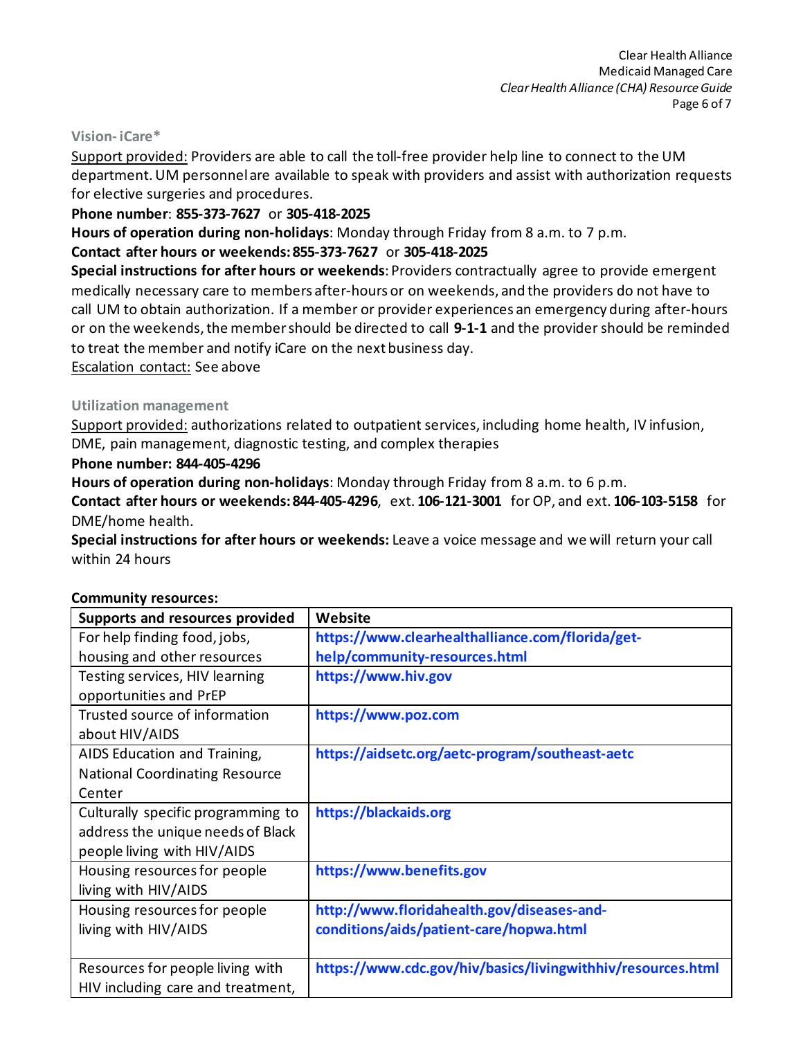#### **Vision- iCare\***

Support provided: Providers are able to call the toll-free provider help line to connect to the UM department. UM personnel are available to speak with providers and assist with authorization requests for elective surgeries and procedures.

## **Phone number**: **855-373-7627** or **305-418-2025**

**Hours of operation during non-holidays**: Monday through Friday from 8 a.m. to 7 p.m.

# **Contact after hours or weekends:855-373-7627** or **305-418-2025**

**Special instructions for after hours or weekends**: Providers contractually agree to provide emergent medically necessary care to members after-hours or on weekends, and the providers do not have to call UM to obtain authorization. If a member or provider experiences an emergency during after-hours or on the weekends, the member should be directed to call **9-1-1** and the providershould be reminded to treat the member and notify iCare on the next business day.

Escalation contact: See above

## **Utilization management**

Support provided: authorizations related to outpatient services, including home health, IV infusion, DME, pain management, diagnostic testing, and complex therapies

## **Phone number: 844-405-4296**

**Hours of operation during non-holidays**: Monday through Friday from 8 a.m. to 6 p.m.

**Contact after hours or weekends:844-405-4296**, ext. **106-121-3001** for OP, and ext. **106-103-5158** for DME/home health.

**Special instructions for after hours or weekends:** Leave a voice message and we will return your call within 24 hours

| Supports and resources provided       | Website                                                     |
|---------------------------------------|-------------------------------------------------------------|
| For help finding food, jobs,          | https://www.clearhealthalliance.com/florida/get-            |
| housing and other resources           | help/community-resources.html                               |
| Testing services, HIV learning        | https://www.hiv.gov                                         |
| opportunities and PrEP                |                                                             |
| Trusted source of information         | https://www.poz.com                                         |
| about HIV/AIDS                        |                                                             |
| AIDS Education and Training,          | https://aidsetc.org/aetc-program/southeast-aetc             |
| <b>National Coordinating Resource</b> |                                                             |
| Center                                |                                                             |
| Culturally specific programming to    | https://blackaids.org                                       |
| address the unique needs of Black     |                                                             |
| people living with HIV/AIDS           |                                                             |
| Housing resources for people          | https://www.benefits.gov                                    |
| living with HIV/AIDS                  |                                                             |
| Housing resources for people          | http://www.floridahealth.gov/diseases-and-                  |
| living with HIV/AIDS                  | conditions/aids/patient-care/hopwa.html                     |
|                                       |                                                             |
| Resources for people living with      | https://www.cdc.gov/hiv/basics/livingwithhiv/resources.html |
| HIV including care and treatment,     |                                                             |

## **Community resources:**